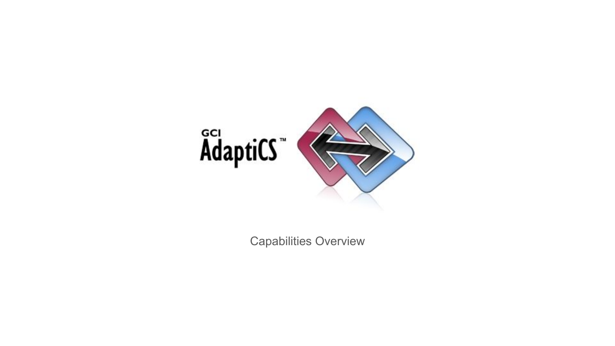

Capabilities Overview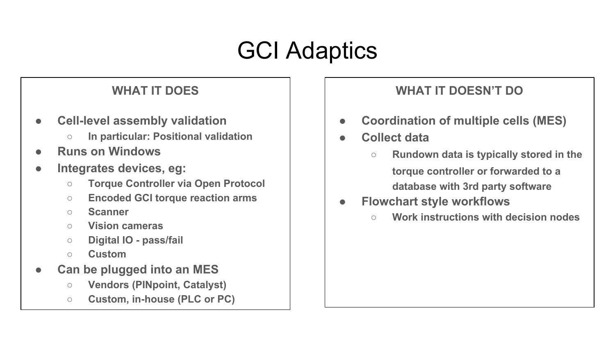## GCI Adaptics

#### **WHAT IT DOES**

- **● Cell-level assembly validation**
	- **○ In particular: Positional validation**
- **● Runs on Windows**
- **● Integrates devices, eg:**
	- **○ Torque Controller via Open Protocol**
	- **○ Encoded GCI torque reaction arms**
	- **○ Scanner**
	- **○ Vision cameras**
	- **○ Digital IO pass/fail**
	- **○ Custom**
- **● Can be plugged into an MES**
	- **○ Vendors (PINpoint, Catalyst)**
	- **○ Custom, in-house (PLC or PC)**

#### **WHAT IT DOESN'T DO**

- **● Coordination of multiple cells (MES)**
- **● Collect data**
	- **○ Rundown data is typically stored in the torque controller or forwarded to a database with 3rd party software**
- **● Flowchart style workflows**
	- **○ Work instructions with decision nodes**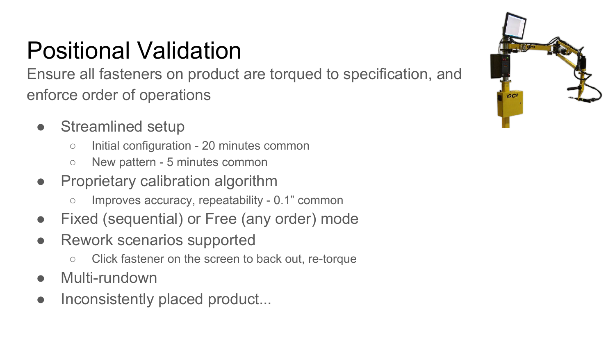# Positional Validation

Ensure all fasteners on product are torqued to specification, and enforce order of operations

- Streamlined setup
	- Initial configuration 20 minutes common
	- New pattern 5 minutes common
- Proprietary calibration algorithm
	- Improves accuracy, repeatability 0.1" common
- Fixed (sequential) or Free (any order) mode
- Rework scenarios supported
	- Click fastener on the screen to back out, re-torque
- Multi-rundown
- Inconsistently placed product...

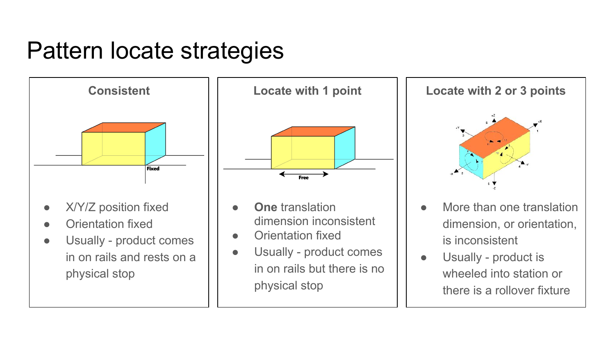### Pattern locate strategies





- **One** translation dimension inconsistent
- Orientation fixed
- Usually product comes in on rails but there is no physical stop



- More than one translation dimension, or orientation, is inconsistent
- Usually product is wheeled into station or there is a rollover fixture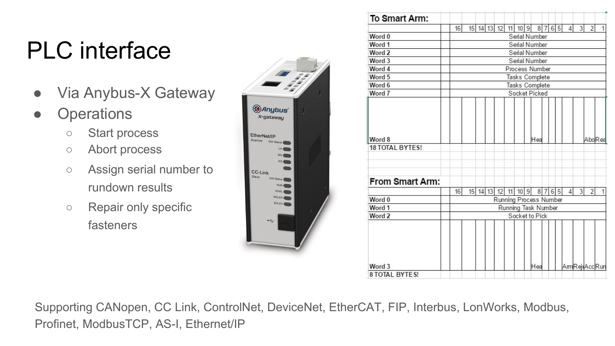# PLC interface

- Via Anybus-X Gateway
- Operations
	- Start process
	- Abort process
	- Assign serial number to rundown results
	- Repair only specific fasteners



| To Smart Arm:                    |               |                                               |  |  |                     |  |                 |  |     |  |      |  |              |                |                |  |
|----------------------------------|---------------|-----------------------------------------------|--|--|---------------------|--|-----------------|--|-----|--|------|--|--------------|----------------|----------------|--|
|                                  | 16            |                                               |  |  | 15 14 13 12         |  | 11 10 9 8 7 6 5 |  |     |  |      |  | $\vert$      | $\overline{3}$ | $\overline{2}$ |  |
| Word 0                           | Serial Number |                                               |  |  |                     |  |                 |  |     |  |      |  |              |                |                |  |
| Word 1                           |               |                                               |  |  |                     |  | Serial Number   |  |     |  |      |  |              |                |                |  |
| Word 2                           |               |                                               |  |  |                     |  | Serial Number   |  |     |  |      |  |              |                |                |  |
| Word 3                           |               |                                               |  |  |                     |  | Serial Number   |  |     |  |      |  |              |                |                |  |
| Word 4                           |               |                                               |  |  |                     |  | Process Number  |  |     |  |      |  |              |                |                |  |
| Word 5                           |               | Tasks Complete                                |  |  |                     |  |                 |  |     |  |      |  |              |                |                |  |
| Word 6                           |               | Tasks Complete                                |  |  |                     |  |                 |  |     |  |      |  |              |                |                |  |
| Word 7                           | Socket Picked |                                               |  |  |                     |  |                 |  |     |  |      |  |              |                |                |  |
| Word 8<br><b>18 TOTAL BYTES!</b> |               |                                               |  |  |                     |  |                 |  | Hea |  |      |  |              |                | AboRea         |  |
| From Smart Arm:                  | 16            |                                               |  |  | 15 14 13 12 11 10 9 |  |                 |  |     |  |      |  | $\Delta$     | 3              | $\overline{2}$ |  |
| Word 0                           |               |                                               |  |  |                     |  |                 |  |     |  | 8765 |  |              |                |                |  |
| Word 1                           |               | Running Process Number<br>Running Task Number |  |  |                     |  |                 |  |     |  |      |  |              |                |                |  |
| Word 2                           |               |                                               |  |  |                     |  | Socket to Pick  |  |     |  |      |  |              |                |                |  |
|                                  |               |                                               |  |  |                     |  |                 |  |     |  |      |  |              |                |                |  |
| Word 3<br><b>B TOTAL BYTES!</b>  |               |                                               |  |  |                     |  |                 |  | Hea |  |      |  | AmRejeAccRun |                |                |  |

Supporting CANopen, CC Link, ControlNet, DeviceNet, EtherCAT, FIP, Interbus, LonWorks, Modbus, Profinet, ModbusTCP, AS-I, Ethernet/IP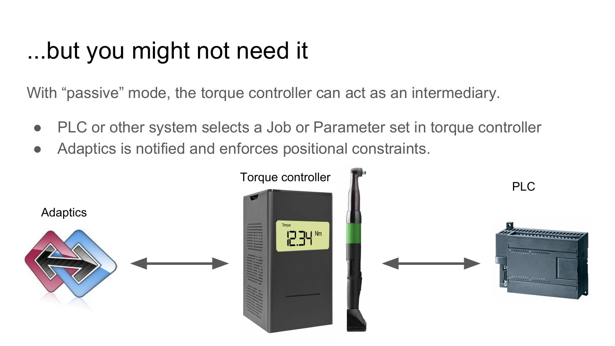### ...but you might not need it

With "passive" mode, the torque controller can act as an intermediary.

- PLC or other system selects a Job or Parameter set in torque controller
- Adaptics is notified and enforces positional constraints.

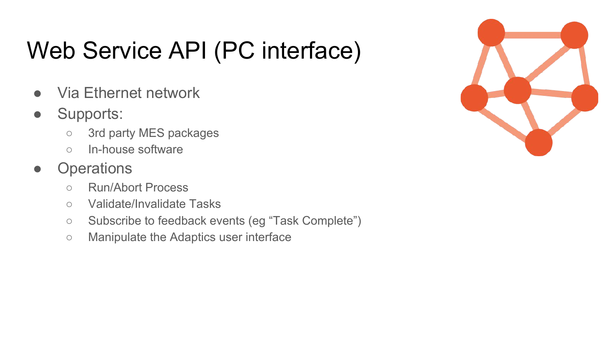# Web Service API (PC interface)

- Via Ethernet network
- Supports:
	- 3rd party MES packages
	- In-house software
- Operations
	- Run/Abort Process
	- Validate/Invalidate Tasks
	- Subscribe to feedback events (eg "Task Complete")
	- Manipulate the Adaptics user interface

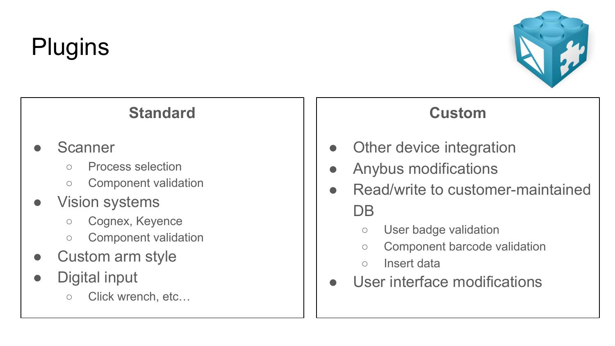# **Plugins**



### **Standard**

#### **Scanner**

- Process selection
- Component validation

#### ● Vision systems

- Cognex, Keyence
- Component validation
- Custom arm style
- Digital input
	- Click wrench, etc…

#### **Custom**

- Other device integration
- Anybus modifications
- Read/write to customer-maintained DB
	- User badge validation
	- Component barcode validation
	- Insert data
- User interface modifications